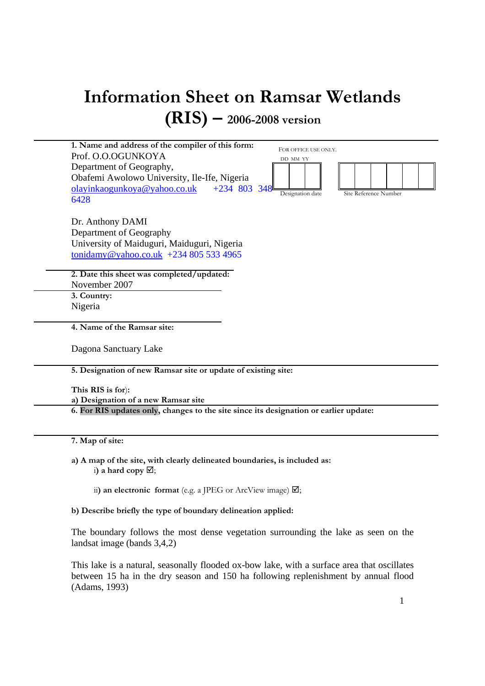# Information Sheet on Ramsar Wetlands (RIS) – 2006-2008 version



a) A map of the site, with clearly delineated boundaries, is included as: i) a hard copy  $\boxtimes$ ;

ii) an electronic format (e.g. a JPEG or ArcView image)  $\boxtimes$ ;

b) Describe briefly the type of boundary delineation applied:

The boundary follows the most dense vegetation surrounding the lake as seen on the landsat image (bands 3,4,2)

This lake is a natural, seasonally flooded ox-bow lake, with a surface area that oscillates between 15 ha in the dry season and 150 ha following replenishment by annual flood (Adams, 1993)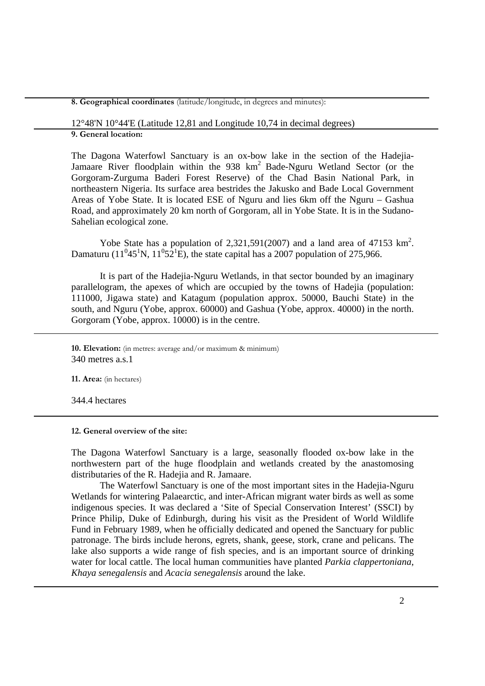8. Geographical coordinates (latitude/longitude, in degrees and minutes):

12°48'N 10°44'E (Latitude 12,81 and Longitude 10,74 in decimal degrees)

9. General location:

The Dagona Waterfowl Sanctuary is an ox-bow lake in the section of the Hadejia-Jamaare River floodplain within the 938 km<sup>2</sup> Bade-Nguru Wetland Sector (or the Gorgoram-Zurguma Baderi Forest Reserve) of the Chad Basin National Park, in northeastern Nigeria. Its surface area bestrides the Jakusko and Bade Local Government Areas of Yobe State. It is located ESE of Nguru and lies 6km off the Nguru – Gashua Road, and approximately 20 km north of Gorgoram, all in Yobe State. It is in the Sudano-Sahelian ecological zone.

Yobe State has a population of  $2,321,591(2007)$  and a land area of 47153 km<sup>2</sup>. Damaturu (11<sup>0</sup>45<sup>1</sup>N, 11<sup>0</sup>52<sup>1</sup>E), the state capital has a 2007 population of 275,966.

It is part of the Hadejia-Nguru Wetlands, in that sector bounded by an imaginary parallelogram, the apexes of which are occupied by the towns of Hadejia (population: 111000, Jigawa state) and Katagum (population approx. 50000, Bauchi State) in the south, and Nguru (Yobe, approx. 60000) and Gashua (Yobe, approx. 40000) in the north. Gorgoram (Yobe, approx. 10000) is in the centre.

10. Elevation: (in metres: average and/or maximum & minimum) 340 metres a.s.1

11. Area: (in hectares)

344.4 hectares

12. General overview of the site:

The Dagona Waterfowl Sanctuary is a large, seasonally flooded ox-bow lake in the northwestern part of the huge floodplain and wetlands created by the anastomosing distributaries of the R. Hadejia and R. Jamaare.

The Waterfowl Sanctuary is one of the most important sites in the Hadejia-Nguru Wetlands for wintering Palaearctic, and inter-African migrant water birds as well as some indigenous species. It was declared a 'Site of Special Conservation Interest' (SSCI) by Prince Philip, Duke of Edinburgh, during his visit as the President of World Wildlife Fund in February 1989, when he officially dedicated and opened the Sanctuary for public patronage. The birds include herons, egrets, shank, geese, stork, crane and pelicans. The lake also supports a wide range of fish species, and is an important source of drinking water for local cattle. The local human communities have planted *Parkia clappertoniana*, *Khaya senegalensis* and *Acacia senegalensis* around the lake.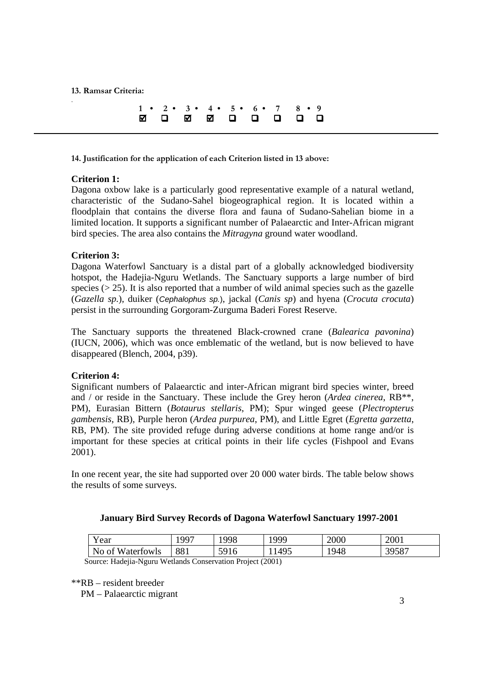13. Ramsar Criteria:

.

|  |  |  |  | $1 \cdot 2 \cdot 3 \cdot 4 \cdot 5 \cdot 6 \cdot 7 \cdot 8 \cdot 9$ |  |
|--|--|--|--|---------------------------------------------------------------------|--|
|  |  |  |  | Z O Z Z O O O O O                                                   |  |

14. Justification for the application of each Criterion listed in 13 above:

# **Criterion 1:**

Dagona oxbow lake is a particularly good representative example of a natural wetland, characteristic of the Sudano-Sahel biogeographical region. It is located within a floodplain that contains the diverse flora and fauna of Sudano-Sahelian biome in a limited location. It supports a significant number of Palaearctic and Inter-African migrant bird species. The area also contains the *Mitragyna* ground water woodland.

# **Criterion 3:**

Dagona Waterfowl Sanctuary is a distal part of a globally acknowledged biodiversity hotspot, the Hadejia-Nguru Wetlands. The Sanctuary supports a large number of bird species  $(> 25)$ . It is also reported that a number of wild animal species such as the gazelle (*Gazella sp.*), duiker (Cephalophus sp.), jackal (*Canis sp*) and hyena (*Crocuta crocuta*) persist in the surrounding Gorgoram-Zurguma Baderi Forest Reserve.

The Sanctuary supports the threatened Black-crowned crane (*Balearica pavonina*) (IUCN, 2006), which was once emblematic of the wetland, but is now believed to have disappeared (Blench, 2004, p39).

#### **Criterion 4:**

Significant numbers of Palaearctic and inter-African migrant bird species winter, breed and / or reside in the Sanctuary. These include the Grey heron (*Ardea cinerea*, RB\*\*, PM), Eurasian Bittern (*Botaurus stellaris*, PM); Spur winged geese (*Plectropterus gambensis*, RB), Purple heron (*Ardea purpurea*, PM), and Little Egret (*Egretta garzetta*, RB, PM). The site provided refuge during adverse conditions at home range and/or is important for these species at critical points in their life cycles (Fishpool and Evans 2001).

In one recent year, the site had supported over 20 000 water birds. The table below shows the results of some surveys.

### **January Bird Survey Records of Dagona Waterfowl Sanctuary 1997-2001**

| $\overline{\mathbf{x}}$<br>Y ear | 997 | 1998 | 1999 | 2000 | 2001  |
|----------------------------------|-----|------|------|------|-------|
| No of<br><i>W</i> aterfowls      | 881 | 5916 | 1495 | 1948 | 39587 |

Source: Hadejia-Nguru Wetlands Conservation Project (2001)

\*\*RB – resident breeder

PM – Palaearctic migrant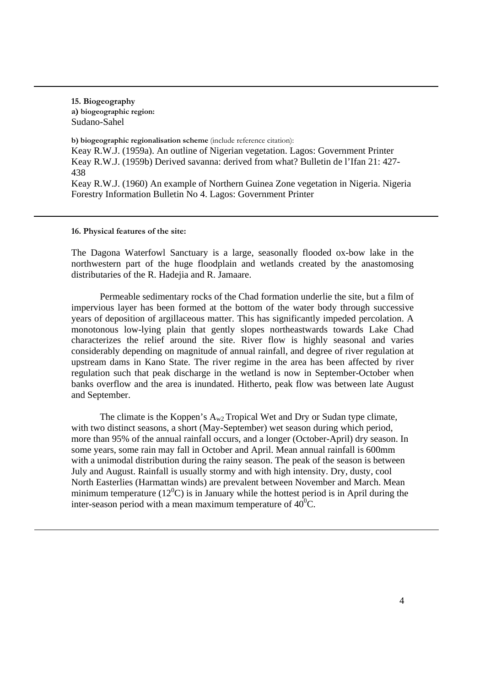15. Biogeography a) biogeographic region: Sudano-Sahel

b) biogeographic regionalisation scheme (include reference citation): Keay R.W.J. (1959a). An outline of Nigerian vegetation. Lagos: Government Printer Keay R.W.J. (1959b) Derived savanna: derived from what? Bulletin de l'Ifan 21: 427- 438 Keay R.W.J. (1960) An example of Northern Guinea Zone vegetation in Nigeria. Nigeria Forestry Information Bulletin No 4. Lagos: Government Printer

16. Physical features of the site:

The Dagona Waterfowl Sanctuary is a large, seasonally flooded ox-bow lake in the northwestern part of the huge floodplain and wetlands created by the anastomosing distributaries of the R. Hadejia and R. Jamaare.

Permeable sedimentary rocks of the Chad formation underlie the site, but a film of impervious layer has been formed at the bottom of the water body through successive years of deposition of argillaceous matter. This has significantly impeded percolation. A monotonous low-lying plain that gently slopes northeastwards towards Lake Chad characterizes the relief around the site. River flow is highly seasonal and varies considerably depending on magnitude of annual rainfall, and degree of river regulation at upstream dams in Kano State. The river regime in the area has been affected by river regulation such that peak discharge in the wetland is now in September-October when banks overflow and the area is inundated. Hitherto, peak flow was between late August and September.

The climate is the Koppen's  $A_{w2}$  Tropical Wet and Dry or Sudan type climate, with two distinct seasons, a short (May-September) wet season during which period, more than 95% of the annual rainfall occurs, and a longer (October-April) dry season. In some years, some rain may fall in October and April. Mean annual rainfall is 600mm with a unimodal distribution during the rainy season. The peak of the season is between July and August. Rainfall is usually stormy and with high intensity. Dry, dusty, cool North Easterlies (Harmattan winds) are prevalent between November and March. Mean minimum temperature ( $12^{\circ}$ C) is in January while the hottest period is in April during the inter-season period with a mean maximum temperature of  $40^{\circ}$ C.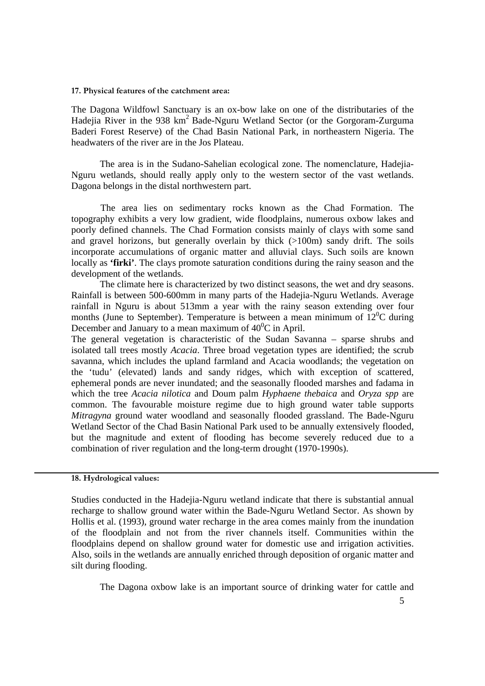#### 17. Physical features of the catchment area:

The Dagona Wildfowl Sanctuary is an ox-bow lake on one of the distributaries of the Hadejia River in the 938 km<sup>2</sup> Bade-Nguru Wetland Sector (or the Gorgoram-Zurguma Baderi Forest Reserve) of the Chad Basin National Park, in northeastern Nigeria. The headwaters of the river are in the Jos Plateau.

The area is in the Sudano-Sahelian ecological zone. The nomenclature, Hadejia-Nguru wetlands, should really apply only to the western sector of the vast wetlands. Dagona belongs in the distal northwestern part.

 The area lies on sedimentary rocks known as the Chad Formation. The topography exhibits a very low gradient, wide floodplains, numerous oxbow lakes and poorly defined channels. The Chad Formation consists mainly of clays with some sand and gravel horizons, but generally overlain by thick  $(>100m)$  sandy drift. The soils incorporate accumulations of organic matter and alluvial clays. Such soils are known locally as **'firki'**. The clays promote saturation conditions during the rainy season and the development of the wetlands.

The climate here is characterized by two distinct seasons, the wet and dry seasons. Rainfall is between 500-600mm in many parts of the Hadejia-Nguru Wetlands. Average rainfall in Nguru is about 513mm a year with the rainy season extending over four months (June to September). Temperature is between a mean minimum of  $12^{0}C$  during December and January to a mean maximum of  $40^{\circ}$ C in April.

The general vegetation is characteristic of the Sudan Savanna – sparse shrubs and isolated tall trees mostly *Acacia*. Three broad vegetation types are identified; the scrub savanna, which includes the upland farmland and Acacia woodlands; the vegetation on the 'tudu' (elevated) lands and sandy ridges, which with exception of scattered, ephemeral ponds are never inundated; and the seasonally flooded marshes and fadama in which the tree *Acacia nilotica* and Doum palm *Hyphaene thebaica* and *Oryza spp* are common. The favourable moisture regime due to high ground water table supports *Mitragyna* ground water woodland and seasonally flooded grassland. The Bade-Nguru Wetland Sector of the Chad Basin National Park used to be annually extensively flooded, but the magnitude and extent of flooding has become severely reduced due to a combination of river regulation and the long-term drought (1970-1990s).

# 18. Hydrological values:

Studies conducted in the Hadejia-Nguru wetland indicate that there is substantial annual recharge to shallow ground water within the Bade-Nguru Wetland Sector. As shown by Hollis et al. (1993), ground water recharge in the area comes mainly from the inundation of the floodplain and not from the river channels itself. Communities within the floodplains depend on shallow ground water for domestic use and irrigation activities. Also, soils in the wetlands are annually enriched through deposition of organic matter and silt during flooding.

The Dagona oxbow lake is an important source of drinking water for cattle and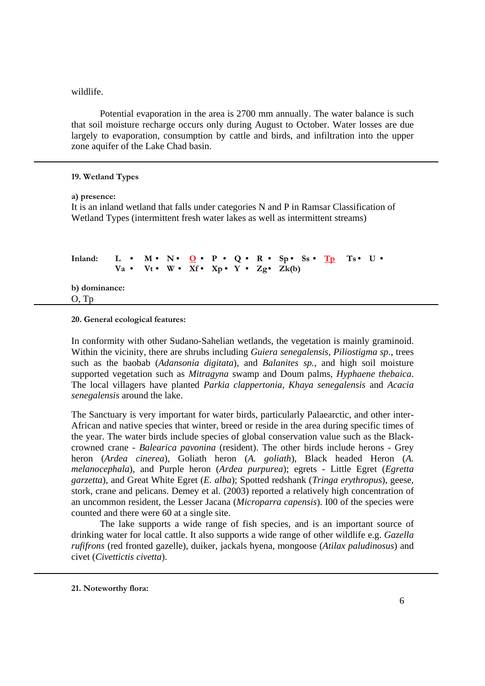# wildlife.

Potential evaporation in the area is 2700 mm annually. The water balance is such that soil moisture recharge occurs only during August to October. Water losses are due largely to evaporation, consumption by cattle and birds, and infiltration into the upper zone aquifer of the Lake Chad basin.

# 19. Wetland Types

#### a) presence:

It is an inland wetland that falls under categories N and P in Ramsar Classification of Wetland Types (intermittent fresh water lakes as well as intermittent streams)

```
Inland: L \cdot M \cdot N \cdot Q \cdot P \cdot Q \cdot R \cdot Sp \cdot S \cdot T_D T s \cdot U \cdot PVa \cdot Vt \cdot W \cdot Xf \cdot Xp \cdot Y \cdot Zg \cdot Zk(b)b) dominance: 
O, Tp
```
20. General ecological features:

In conformity with other Sudano-Sahelian wetlands, the vegetation is mainly graminoid. Within the vicinity, there are shrubs including *Guiera senegalensis, Piliostigma sp*., trees such as the baobab (*Adansonia digitata*)*,* and *Balanites sp.*, and high soil moisture supported vegetation such as *Mitragyna* swamp and Doum palms, *Hyphaene thebaica*. The local villagers have planted *Parkia clappertonia, Khaya senegalensis* and *Acacia senegalensis* around the lake.

The Sanctuary is very important for water birds, particularly Palaearctic, and other inter-African and native species that winter, breed or reside in the area during specific times of the year. The water birds include species of global conservation value such as the Blackcrowned crane - *Balearica pavonina* (resident). The other birds include herons - Grey heron (*Ardea cinerea*), Goliath heron (*A. goliath*), Black headed Heron (*A. melanocephala*), and Purple heron (*Ardea purpurea*); egrets - Little Egret (*Egretta garzetta*), and Great White Egret (*E. alba*); Spotted redshank (*Tringa erythropus*), geese, stork, crane and pelicans. Demey et al. (2003) reported a relatively high concentration of an uncommon resident, the Lesser Jacana (*Microparra capensis*). I00 of the species were counted and there were 60 at a single site.

The lake supports a wide range of fish species, and is an important source of drinking water for local cattle. It also supports a wide range of other wildlife e.g. *Gazella rufifrons* (red fronted gazelle), duiker, jackals hyena, mongoose (*Atilax paludinosus*) and civet (*Civettictis civetta*).

21. Noteworthy flora: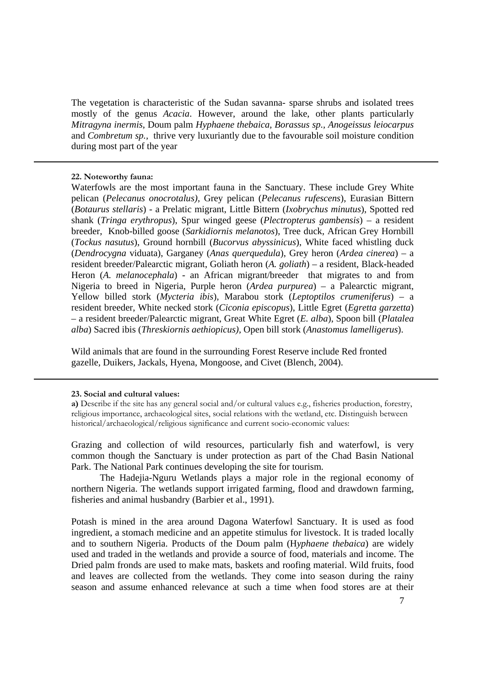The vegetation is characteristic of the Sudan savanna- sparse shrubs and isolated trees mostly of the genus *Acacia*. However, around the lake, other plants particularly *Mitragyna inermis*, Doum palm *Hyphaene thebaica, Borassus sp., Anogeissus leiocarpus*  and *Combretum sp.,* thrive very luxuriantly due to the favourable soil moisture condition during most part of the year

# 22. Noteworthy fauna:

Waterfowls are the most important fauna in the Sanctuary. These include Grey White pelican (*Pelecanus onocrotalus)*, Grey pelican (*Pelecanus rufescens*), Eurasian Bittern (*Botaurus stellaris*) - a Prelatic migrant, Little Bittern (*Ixobrychus minutus*), Spotted red shank (*Tringa erythropus*), Spur winged geese (*Plectropterus gambensis*) – a resident breeder, Knob-billed goose (*Sarkidiornis melanotos*), Tree duck, African Grey Hornbill (*Tockus nasutus*), Ground hornbill (*Bucorvus abyssinicus*), White faced whistling duck (*Dendrocygna* viduata), Garganey (*Anas querquedula*), Grey heron (*Ardea cinerea*) – a resident breeder/Palearctic migrant, Goliath heron (*A. goliath*) – a resident, Black-headed Heron (*A. melanocephala*) - an African migrant/breeder that migrates to and from Nigeria to breed in Nigeria, Purple heron (*Ardea purpurea*) – a Palearctic migrant, Yellow billed stork (*Mycteria ibis*), Marabou stork (*Leptoptilos crumeniferus*) – a resident breeder, White necked stork (*Ciconia episcopus*), Little Egret (*Egretta garzetta*) – a resident breeder/Palearctic migrant, Great White Egret (*E. alba*), Spoon bill (*Platalea alba*) Sacred ibis (*Threskiornis aethiopicus),* Open bill stork (*Anastomus lamelligerus*).

Wild animals that are found in the surrounding Forest Reserve include Red fronted gazelle, Duikers, Jackals, Hyena, Mongoose, and Civet (Blench, 2004).

### 23. Social and cultural values:

Grazing and collection of wild resources, particularly fish and waterfowl, is very common though the Sanctuary is under protection as part of the Chad Basin National Park. The National Park continues developing the site for tourism.

 The Hadejia-Nguru Wetlands plays a major role in the regional economy of northern Nigeria. The wetlands support irrigated farming, flood and drawdown farming, fisheries and animal husbandry (Barbier et al., 1991).

Potash is mined in the area around Dagona Waterfowl Sanctuary. It is used as food ingredient, a stomach medicine and an appetite stimulus for livestock. It is traded locally and to southern Nigeria. Products of the Doum palm (H*yphaene thebaica*) are widely used and traded in the wetlands and provide a source of food, materials and income. The Dried palm fronds are used to make mats, baskets and roofing material. Wild fruits, food and leaves are collected from the wetlands. They come into season during the rainy season and assume enhanced relevance at such a time when food stores are at their

a) Describe if the site has any general social and/or cultural values e.g., fisheries production, forestry, religious importance, archaeological sites, social relations with the wetland, etc. Distinguish between historical/archaeological/religious significance and current socio-economic values: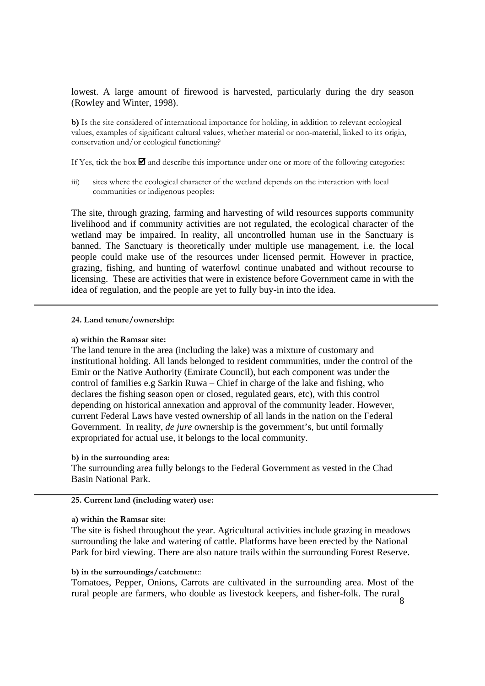lowest. A large amount of firewood is harvested, particularly during the dry season (Rowley and Winter, 1998).

b) Is the site considered of international importance for holding, in addition to relevant ecological values, examples of significant cultural values, whether material or non-material, linked to its origin, conservation and/or ecological functioning?

If Yes, tick the box  $\blacksquare$  and describe this importance under one or more of the following categories:

iii) sites where the ecological character of the wetland depends on the interaction with local communities or indigenous peoples:

The site, through grazing, farming and harvesting of wild resources supports community livelihood and if community activities are not regulated, the ecological character of the wetland may be impaired. In reality, all uncontrolled human use in the Sanctuary is banned. The Sanctuary is theoretically under multiple use management, i.e. the local people could make use of the resources under licensed permit. However in practice, grazing, fishing, and hunting of waterfowl continue unabated and without recourse to licensing. These are activities that were in existence before Government came in with the idea of regulation, and the people are yet to fully buy-in into the idea.

#### 24. Land tenure/ownership:

#### a) within the Ramsar site:

The land tenure in the area (including the lake) was a mixture of customary and institutional holding. All lands belonged to resident communities, under the control of the Emir or the Native Authority (Emirate Council), but each component was under the control of families e.g Sarkin Ruwa – Chief in charge of the lake and fishing, who declares the fishing season open or closed, regulated gears, etc), with this control depending on historical annexation and approval of the community leader. However, current Federal Laws have vested ownership of all lands in the nation on the Federal Government. In reality, *de jure* ownership is the government's, but until formally expropriated for actual use, it belongs to the local community.

#### b) in the surrounding area:

The surrounding area fully belongs to the Federal Government as vested in the Chad Basin National Park.

# 25. Current land (including water) use:

#### a) within the Ramsar site:

The site is fished throughout the year. Agricultural activities include grazing in meadows surrounding the lake and watering of cattle. Platforms have been erected by the National Park for bird viewing. There are also nature trails within the surrounding Forest Reserve.

# b) in the surroundings/catchment::

Tomatoes, Pepper, Onions, Carrots are cultivated in the surrounding area. Most of the rural people are farmers, who double as livestock keepers, and fisher-folk. The rural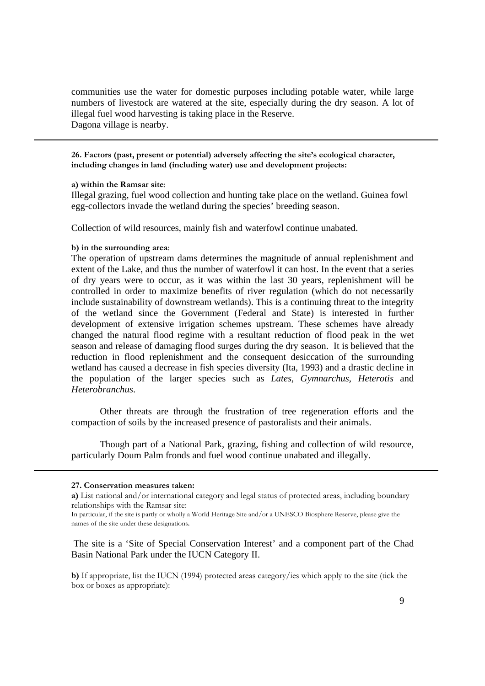communities use the water for domestic purposes including potable water, while large numbers of livestock are watered at the site, especially during the dry season. A lot of illegal fuel wood harvesting is taking place in the Reserve. Dagona village is nearby.

26. Factors (past, present or potential) adversely affecting the site's ecological character, including changes in land (including water) use and development projects:

#### a) within the Ramsar site:

Illegal grazing, fuel wood collection and hunting take place on the wetland. Guinea fowl egg-collectors invade the wetland during the species' breeding season.

Collection of wild resources, mainly fish and waterfowl continue unabated.

#### b) in the surrounding area:

The operation of upstream dams determines the magnitude of annual replenishment and extent of the Lake, and thus the number of waterfowl it can host. In the event that a series of dry years were to occur, as it was within the last 30 years, replenishment will be controlled in order to maximize benefits of river regulation (which do not necessarily include sustainability of downstream wetlands). This is a continuing threat to the integrity of the wetland since the Government (Federal and State) is interested in further development of extensive irrigation schemes upstream. These schemes have already changed the natural flood regime with a resultant reduction of flood peak in the wet season and release of damaging flood surges during the dry season. It is believed that the reduction in flood replenishment and the consequent desiccation of the surrounding wetland has caused a decrease in fish species diversity (Ita, 1993) and a drastic decline in the population of the larger species such as *Lates*, *Gymnarchus*, *Heterotis* and *Heterobranchus*.

Other threats are through the frustration of tree regeneration efforts and the compaction of soils by the increased presence of pastoralists and their animals.

Though part of a National Park, grazing, fishing and collection of wild resource, particularly Doum Palm fronds and fuel wood continue unabated and illegally.

The site is a 'Site of Special Conservation Interest' and a component part of the Chad Basin National Park under the IUCN Category II.

b) If appropriate, list the IUCN (1994) protected areas category/ies which apply to the site (tick the box or boxes as appropriate):

<sup>27.</sup> Conservation measures taken:

a) List national and/or international category and legal status of protected areas, including boundary relationships with the Ramsar site:

In particular, if the site is partly or wholly a World Heritage Site and/or a UNESCO Biosphere Reserve, please give the names of the site under these designations.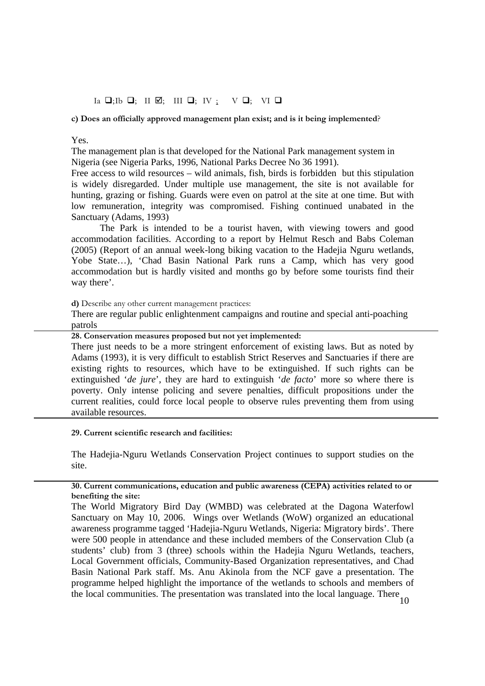# $Ia \nightharpoonup I; Ib \nightharpoonup; II \nightharpoonup; III \nightharpoonup; IV; \nightharpoonup V \nightharpoonup; VI \nightharpoonup$

# c) Does an officially approved management plan exist; and is it being implemented?

# Yes.

The management plan is that developed for the National Park management system in Nigeria (see Nigeria Parks, 1996, National Parks Decree No 36 1991).

Free access to wild resources – wild animals, fish, birds is forbidden but this stipulation is widely disregarded. Under multiple use management, the site is not available for hunting, grazing or fishing. Guards were even on patrol at the site at one time. But with low remuneration, integrity was compromised. Fishing continued unabated in the Sanctuary (Adams, 1993)

 The Park is intended to be a tourist haven, with viewing towers and good accommodation facilities. According to a report by Helmut Resch and Babs Coleman (2005) (Report of an annual week-long biking vacation to the Hadejia Nguru wetlands, Yobe State…), 'Chad Basin National Park runs a Camp, which has very good accommodation but is hardly visited and months go by before some tourists find their way there'.

d) Describe any other current management practices:

There are regular public enlightenment campaigns and routine and special anti-poaching patrols

28. Conservation measures proposed but not yet implemented:

There just needs to be a more stringent enforcement of existing laws. But as noted by Adams (1993), it is very difficult to establish Strict Reserves and Sanctuaries if there are existing rights to resources, which have to be extinguished. If such rights can be extinguished '*de jure*', they are hard to extinguish '*de facto*' more so where there is poverty. Only intense policing and severe penalties, difficult propositions under the current realities, could force local people to observe rules preventing them from using available resources.

29. Current scientific research and facilities:

The Hadejia-Nguru Wetlands Conservation Project continues to support studies on the site.

# 30. Current communications, education and public awareness (CEPA) activities related to or benefiting the site:

The World Migratory Bird Day (WMBD) was celebrated at the Dagona Waterfowl Sanctuary on May 10, 2006. Wings over Wetlands (WoW) organized an educational awareness programme tagged 'Hadejia-Nguru Wetlands, Nigeria: Migratory birds'. There were 500 people in attendance and these included members of the Conservation Club (a students' club) from 3 (three) schools within the Hadejia Nguru Wetlands, teachers, Local Government officials, Community-Based Organization representatives, and Chad Basin National Park staff. Ms. Anu Akinola from the NCF gave a presentation. The programme helped highlight the importance of the wetlands to schools and members of the local communities. The presentation was translated into the local language. There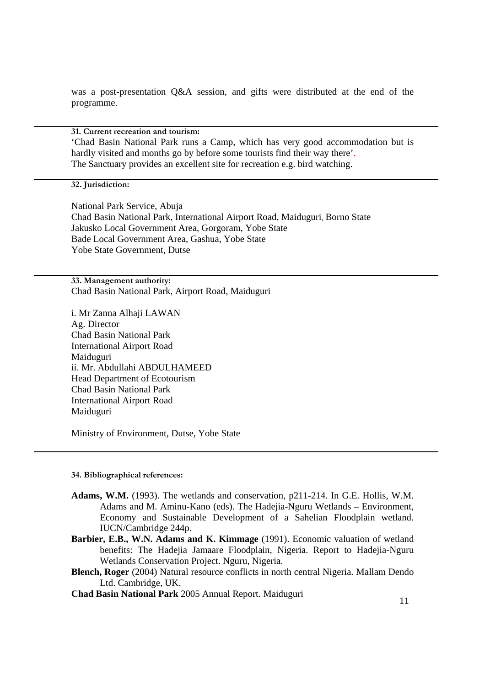was a post-presentation Q&A session, and gifts were distributed at the end of the programme.

31. Current recreation and tourism:

'Chad Basin National Park runs a Camp, which has very good accommodation but is hardly visited and months go by before some tourists find their way there'. The Sanctuary provides an excellent site for recreation e.g. bird watching.

# 32. Jurisdiction:

National Park Service, Abuja Chad Basin National Park, International Airport Road, Maiduguri, Borno State Jakusko Local Government Area, Gorgoram, Yobe State Bade Local Government Area, Gashua, Yobe State Yobe State Government, Dutse

33. Management authority: Chad Basin National Park, Airport Road, Maiduguri

i. Mr Zanna Alhaji LAWAN Ag. Director Chad Basin National Park International Airport Road Maiduguri ii. Mr. Abdullahi ABDULHAMEED Head Department of Ecotourism Chad Basin National Park International Airport Road Maiduguri

Ministry of Environment, Dutse, Yobe State

#### 34. Bibliographical references:

- **Adams, W.M.** (1993). The wetlands and conservation, p211-214. In G.E. Hollis, W.M. Adams and M. Aminu-Kano (eds). The Hadejia-Nguru Wetlands – Environment, Economy and Sustainable Development of a Sahelian Floodplain wetland. IUCN/Cambridge 244p.
- **Barbier, E.B., W.N. Adams and K. Kimmage** (1991). Economic valuation of wetland benefits: The Hadejia Jamaare Floodplain, Nigeria. Report to Hadejia-Nguru Wetlands Conservation Project. Nguru, Nigeria.
- **Blench, Roger** (2004) Natural resource conflicts in north central Nigeria. Mallam Dendo Ltd. Cambridge, UK.

**Chad Basin National Park** 2005 Annual Report. Maiduguri